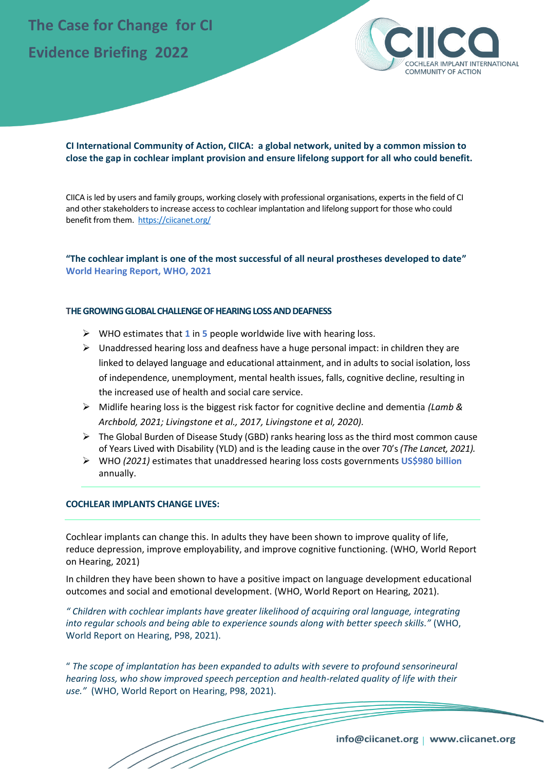# **The Case for Change for CI Evidence Briefing 2022**



### **CI International Community of Action, CIICA: a global network, united by a common mission to close the gap in cochlear implant provision and ensure lifelong support for all who could benefit.**

CIICA is led by users and family groups, working closely with professional organisations, experts in the field of CI and other stakeholders to increase access to cochlear implantation and lifelong support for those who could benefit from them. <https://ciicanet.org/>

## **"The cochlear implant is one of the most successful of all neural prostheses developed to date" World Hearing Report, WHO, 2021**

#### **THE GROWING GLOBAL CHALLENGE OF HEARING LOSS AND DEAFNESS**

- ➢ WHO estimates that **1** in **5** people worldwide live with hearing loss.
- $\triangleright$  Unaddressed hearing loss and deafness have a huge personal impact: in children they are linked to delayed language and educational attainment, and in adults to social isolation, loss of independence, unemployment, mental health issues, falls, cognitive decline, resulting in the increased use of health and social care service.
- ➢ Midlife hearing loss is the biggest risk factor for cognitive decline and dementia *(Lamb & Archbold, 2021; Livingstone et al., 2017, Livingstone et al, 2020).*
- $\triangleright$  The Global Burden of Disease Study (GBD) ranks hearing loss as the third most common cause of Years Lived with Disability (YLD) and is the leading cause in the over 70's *(The Lancet, 2021).*
- ➢ WHO *(2021)* estimates that unaddressed hearing loss costs governments **US\$980 billion** annually.

#### **COCHLEAR IMPLANTS CHANGE LIVES:**

Cochlear implants can change this. In adults they have been shown to improve quality of life, reduce depression, improve employability, and improve cognitive functioning. (WHO, World Report on Hearing, 2021)

In children they have been shown to have a positive impact on language development educational outcomes and social and emotional development. (WHO, World Report on Hearing, 2021).

*" Children with cochlear implants have greater likelihood of acquiring oral language, integrating into regular schools and being able to experience sounds along with better speech skills."* (WHO, World Report on Hearing, P98, 2021).

" *The scope of implantation has been expanded to adults with severe to profound sensorineural hearing loss, who show improved speech perception and health-related quality of life with their use."* (WHO, World Report on Hearing, P98, 2021).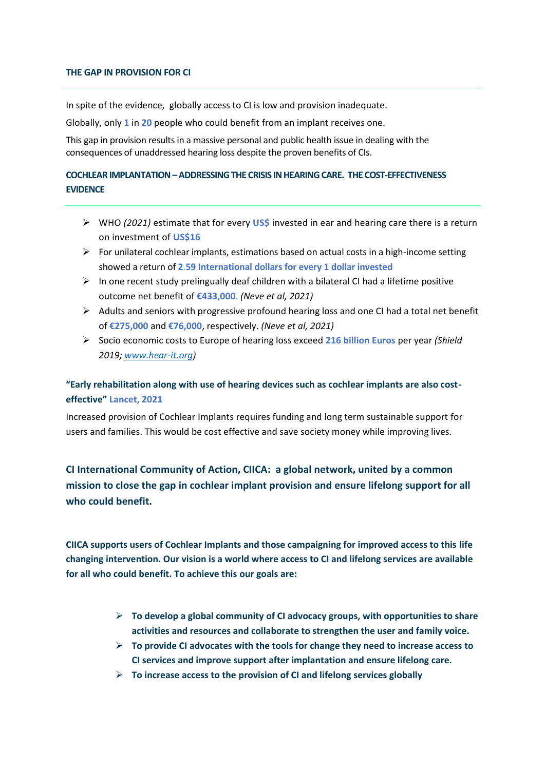#### **THE GAP IN PROVISION FOR CI**

In spite of the evidence, globally access to CI is low and provision inadequate.

Globally, only **1** in **20** people who could benefit from an implant receives one.

This gap in provision results in a massive personal and public health issue in dealing with the consequences of unaddressed hearing loss despite the proven benefits of CIs.

# **COCHLEAR IMPLANTATION –ADDRESSING THE CRISIS IN HEARING CARE. THE COST-EFFECTIVENESS EVIDENCE**

- ➢ WHO *(2021)* estimate that for every **US\$** invested in ear and hearing care there is a return on investment of **US\$16**
- $\triangleright$  For unilateral cochlear implants, estimations based on actual costs in a high-income setting showed a return of **2.59 International dollars for every 1 dollar invested**
- $\triangleright$  In one recent study prelingually deaf children with a bilateral CI had a lifetime positive outcome net benefit of **€433,000**. *(Neve et al, 2021)*
- $\triangleright$  Adults and seniors with progressive profound hearing loss and one CI had a total net benefit of **€275,000** and **€76,000**, respectively. *(Neve et al, 2021)*
- ➢ Socio economic costs to Europe of hearing loss exceed **216 billion Euros** per year *(Shield 2019; [www.hear-it.org\)](http://www.hear-it.org/)*

# **"Early rehabilitation along with use of hearing devices such as cochlear implants are also costeffective" Lancet, 2021**

Increased provision of Cochlear Implants requires funding and long term sustainable support for users and families. This would be cost effective and save society money while improving lives.

**CI International Community of Action, CIICA: a global network, united by a common mission to close the gap in cochlear implant provision and ensure lifelong support for all who could benefit.**

**CIICA supports users of Cochlear Implants and those campaigning for improved access to this life changing intervention. Our vision is a world where access to CI and lifelong services are available for all who could benefit. To achieve this our goals are:** 

- ➢ **To develop a global community of CI advocacy groups, with opportunities to share activities and resources and collaborate to strengthen the user and family voice.**
- ➢ **To provide CI advocates with the tools for change they need to increase access to CI services and improve support after implantation and ensure lifelong care.**
- ➢ **To increase access to the provision of CI and lifelong services globally**